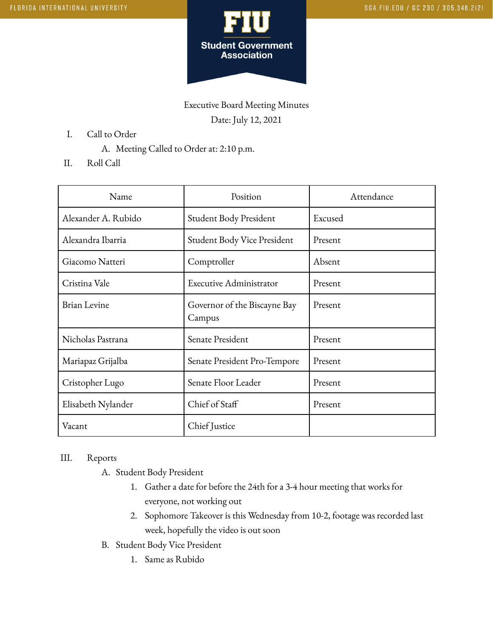

Executive Board Meeting Minutes Date: July 12, 2021

- I. Call to Order
	- A. Meeting Called to Order at: 2:10 p.m.
- II. Roll Call

| Name                | Position                               | Attendance |
|---------------------|----------------------------------------|------------|
| Alexander A. Rubido | Student Body President                 | Excused    |
| Alexandra Ibarria   | Student Body Vice President            | Present    |
| Giacomo Natteri     | Comptroller                            | Absent     |
| Cristina Vale       | Executive Administrator                | Present    |
| <b>Brian Levine</b> | Governor of the Biscayne Bay<br>Campus | Present    |
| Nicholas Pastrana   | Senate President                       | Present    |
| Mariapaz Grijalba   | Senate President Pro-Tempore           | Present    |
| Cristopher Lugo     | Senate Floor Leader                    | Present    |
| Elisabeth Nylander  | Chief of Staff                         | Present    |
| Vacant              | Chief Justice                          |            |

## III. Reports

- A. Student Body President
	- 1. Gather a date for before the 24th for a 3-4 hour meeting that works for everyone, not working out
	- 2. Sophomore Takeover is this Wednesday from 10-2, footage was recorded last week, hopefully the video is out soon
- B. Student Body Vice President
	- 1. Same as Rubido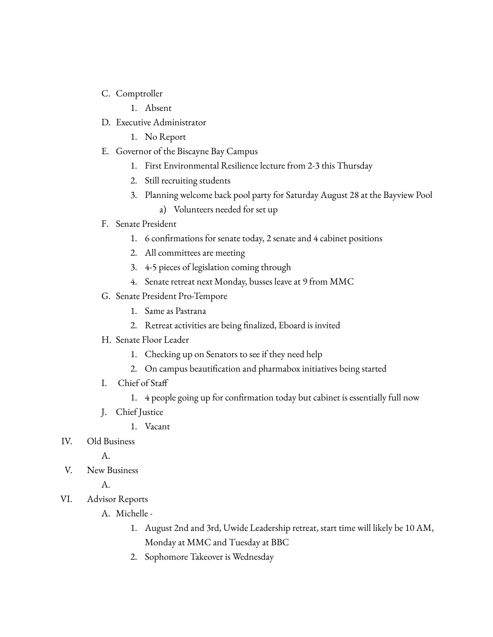- C. Comptroller
	- 1. Absent
- D. Executive Administrator
	- 1. No Report
- E. Governor of the Biscayne Bay Campus
	- 1. First Environmental Resilience lecture from 2-3 this Thursday
	- 2. Still recruiting students
	- 3. Planning welcome back pool party for Saturday August 28 at the Bayview Pool
		- a) Volunteers needed for set up

## F. Senate President

- 1. 6 confirmations for senate today, 2 senate and 4 cabinet positions
- 2. All committees are meeting
- 3. 4-5 pieces of legislation coming through
- 4. Senate retreat next Monday, busses leave at 9 from MMC
- G. Senate President Pro-Tempore
	- 1. Same as Pastrana
	- 2. Retreat activities are being finalized, Eboard is invited
- H. Senate Floor Leader
	- 1. Checking up on Senators to see if they need help
	- 2. On campus beautification and pharmabox initiatives being started
- I. Chief of Staff
	- 1. 4 people going up for confirmation today but cabinet is essentially full now
- J. Chief Justice
	- 1. Vacant
- IV. Old Business

A.

V. New Business

A.

- VI. Advisor Reports
	- A. Michelle
		- 1. August 2nd and 3rd, Uwide Leadership retreat, start time will likely be 10 AM, Monday at MMC and Tuesday at BBC
		- 2. Sophomore Takeover is Wednesday